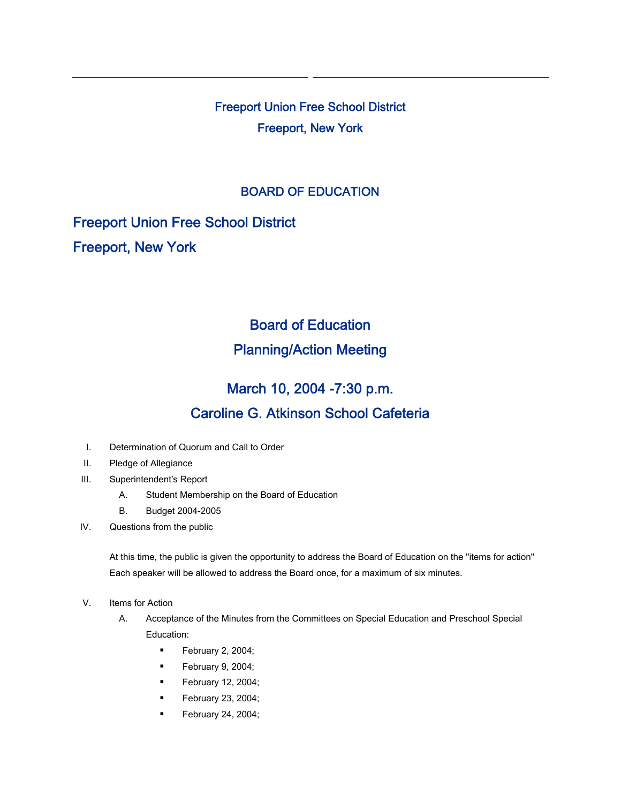Freeport Union Free School District Freeport, New York

## BOARD OF EDUCATION

Freeport Union Free School District Freeport, New York

## Board of Education Planning/Action Meeting

## March 10, 2004 -7:30 p.m. Caroline G. Atkinson School Cafeteria

- I. Determination of Quorum and Call to Order
- II. Pledge of Allegiance
- III. Superintendent's Report
	- A. Student Membership on the Board of Education
	- B. Budget 2004-2005
- IV. Questions from the public

At this time, the public is given the opportunity to address the Board of Education on the "items for action" Each speaker will be allowed to address the Board once, for a maximum of six minutes.

- V. Items for Action
	- A. Acceptance of the Minutes from the Committees on Special Education and Preschool Special Education:
		- **February 2, 2004;**
		- $\blacksquare$  February 9, 2004;
		- $\blacksquare$  February 12, 2004;
		- **February 23, 2004;**
		- $\blacksquare$  February 24, 2004;